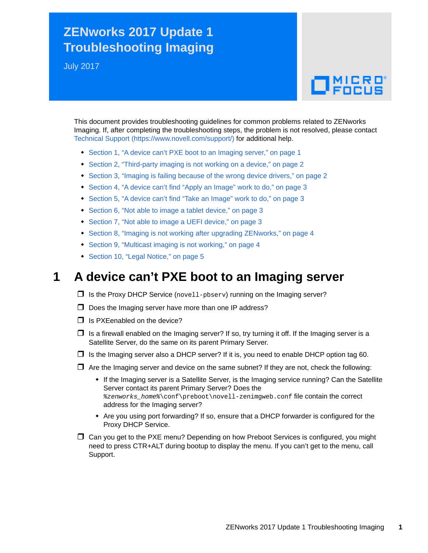# **ZENworks 2017 Update 1 Troubleshooting Imaging**

July 2017

# $\Box$ MICRO

This document provides troubleshooting guidelines for common problems related to ZENworks Imaging. If, after completing the troubleshooting steps, the problem is not resolved, please contact [Technical Support](https://www.novell.com/support/) (https://www.novell.com/support/) for additional help.

- [Section 1, "A device can't PXE boot to an Imaging server," on page 1](#page-0-0)
- [Section 2, "Third-party imaging is not working on a device," on page 2](#page-1-0)
- [Section 3, "Imaging is failing because of the wrong device drivers," on page 2](#page-1-1)
- [Section 4, "A device can't find "Apply an Image" work to do," on page 3](#page-2-0)
- [Section 5, "A device can't find "Take an Image" work to do," on page 3](#page-2-1)
- [Section 6, "Not able to image a tablet device," on page 3](#page-2-2)
- [Section 7, "Not able to image a UEFI device," on page 3](#page-2-3)
- [Section 8, "Imaging is not working after upgrading ZENworks," on page 4](#page-3-0)
- [Section 9, "Multicast imaging is not working," on page 4](#page-3-1)
- [Section 10, "Legal Notice," on page 5](#page-4-0)

### <span id="page-0-0"></span>**1 A device can't PXE boot to an Imaging server**

- $\Box$  Is the Proxy DHCP Service (novel 1-pbserv) running on the Imaging server?
- $\Box$  Does the Imaging server have more than one IP address?
- $\Box$  Is PXEenabled on the device?
- $\Box$  Is a firewall enabled on the Imaging server? If so, try turning it off. If the Imaging server is a Satellite Server, do the same on its parent Primary Server.
- $\Box$  Is the Imaging server also a DHCP server? If it is, you need to enable DHCP option tag 60.
- $\Box$  Are the Imaging server and device on the same subnet? If they are not, check the following:
	- If the Imaging server is a Satellite Server, is the Imaging service running? Can the Satellite Server contact its parent Primary Server? Does the *%zenworks\_home%*\conf\preboot\novell-zenimgweb.conf file contain the correct address for the Imaging server?
	- Are you using port forwarding? If so, ensure that a DHCP forwarder is configured for the Proxy DHCP Service.
- Can you get to the PXE menu? Depending on how Preboot Services is configured, you might need to press CTR+ALT during bootup to display the menu. If you can't get to the menu, call Support.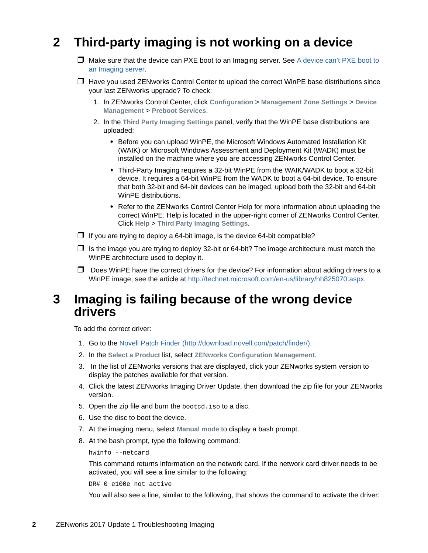# <span id="page-1-0"></span>**2 Third-party imaging is not working on a device**

- $\Box$  Make sure that the device can PXE boot to an Imaging server. See A device can't PXE boot to [an Imaging server.](#page-0-0)
- $\Box$  Have you used ZENworks Control Center to upload the correct WinPE base distributions since your last ZENworks upgrade? To check:
	- 1. In ZENworks Control Center, click **Configuration** > **Management Zone Settings** > **Device Management** > **Preboot Services**.
	- 2. In the **Third Party Imaging Settings** panel, verify that the WinPE base distributions are uploaded:
		- Before you can upload WinPE, the Microsoft Windows Automated Installation Kit (WAIK) or Microsoft Windows Assessment and Deployment Kit (WADK) must be installed on the machine where you are accessing ZENworks Control Center.
		- Third-Party Imaging requires a 32-bit WinPE from the WAIK/WADK to boot a 32-bit device. It requires a 64-bit WinPE from the WADK to boot a 64-bit device. To ensure that both 32-bit and 64-bit devices can be imaged, upload both the 32-bit and 64-bit WinPE distributions.
		- Refer to the ZENworks Control Center Help for more information about uploading the correct WinPE. Help is located in the upper-right corner of ZENworks Control Center. Click **Help** > **Third Party Imaging Settings**.
- $\Box$  If you are trying to deploy a 64-bit image, is the device 64-bit compatible?
- $\Box$  Is the image you are trying to deploy 32-bit or 64-bit? The image architecture must match the WinPE architecture used to deploy it.
- $\Box$  Does WinPE have the correct drivers for the device? For information about adding drivers to a WinPE image, see the article at [http://technet.microsoft.com/en-us/library/hh825070.aspx.](http://technet.microsoft.com/en-us/library/hh825070.aspx)

#### <span id="page-1-1"></span>**3 Imaging is failing because of the wrong device drivers**

To add the correct driver:

- 1. Go to the [Novell Patch Finder](http://download.novell.com/patch/finder/) (http://download.novell.com/patch/finder/).
- 2. In the **Select a Product** list, select **ZENworks Configuration Management**.
- 3. In the list of ZENworks versions that are displayed, click your ZENworks system version to display the patches available for that version.
- 4. Click the latest ZENworks Imaging Driver Update, then download the zip file for your ZENworks version.
- 5. Open the zip file and burn the bootcd.iso to a disc.
- 6. Use the disc to boot the device.
- 7. At the imaging menu, select **Manual mode** to display a bash prompt.
- 8. At the bash prompt, type the following command:

```
hwinfo --netcard
```
This command returns information on the network card. If the network card driver needs to be activated, you will see a line similar to the following:

DR# 0 e100e not active

You will also see a line, similar to the following, that shows the command to activate the driver: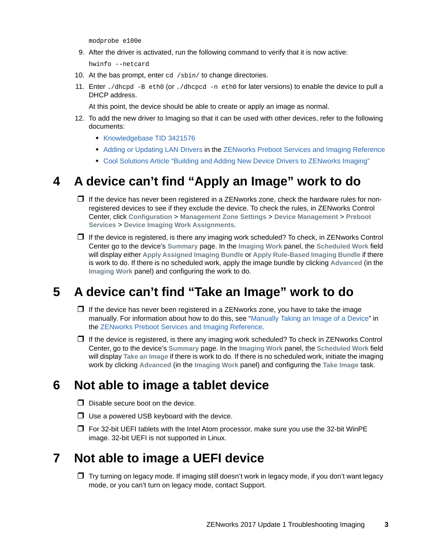modprobe e100e

9. After the driver is activated, run the following command to verify that it is now active:

hwinfo --netcard

- 10. At the bas prompt, enter cd /sbin/ to change directories.
- 11. Enter ./dhcpd -B eth0 (or ./dhcpcd -n eth0 for later versions) to enable the device to pull a DHCP address.

At this point, the device should be able to create or apply an image as normal.

- 12. To add the new driver to Imaging so that it can be used with other devices, refer to the following documents:
	- **[Knowledgebase TID 3421576](https://www.novell.com/support/kb/doc.php?id=3421576)**
	- [Adding or Updating LAN Drivers](https://www.novell.com/documentation/zenworks2017/pdfdoc/zen_cm_preboot_imaging/zen_cm_preboot_imaging.pdf#b2cdmbg) in the ZENworks Preboot Services and Imaging Reference
	- [Cool Solutions Article "Building and Adding New Device Drivers to ZENworks Imaging"](https://www.novell.com/communities/coolsolutions/building-adding-new-device-drivers-zenworks-imaging/)

## <span id="page-2-0"></span>**4 A device can't find "Apply an Image" work to do**

- $\Box$  If the device has never been registered in a ZENworks zone, check the hardware rules for nonregistered devices to see if they exclude the device. To check the rules, in ZENworks Control Center, click **Configuration** > **Management Zone Settings** > **Device Management** > **Preboot Services** > **Device Imaging Work Assignments**.
- $\Box$  If the device is registered, is there any imaging work scheduled? To check, in ZENworks Control Center go to the device's **Summary** page. In the **Imaging Work** panel, the **Scheduled Work** field will display either **Apply Assigned Imaging Bundle** or **Apply Rule-Based Imaging Bundle** if there is work to do. If there is no scheduled work, apply the image bundle by clicking **Advanced** (in the **Imaging Work** panel) and configuring the work to do.

## <span id="page-2-1"></span>**5 A device can't find "Take an Image" work to do**

- $\Box$  If the device has never been registered in a ZENworks zone, you have to take the image manually. For information about how to do this, see "[Manually Taking an Image of a Device"](https://www.novell.com/documentation/zenworks2017/pdfdoc/zen_cm_preboot_imaging/zen_cm_preboot_imaging.pdf#bvekbv8) in the ZENworks Preboot Services and Imaging Reference.
- $\Box$  If the device is registered, is there any imaging work scheduled? To check in ZENworks Control Center, go to the device's **Summary** page. In the **Imaging Work** panel, the **Scheduled Work** field will display **Take an Image** if there is work to do. If there is no scheduled work, initiate the imaging work by clicking **Advanced** (in the **Imaging Work** panel) and configuring the **Take Image** task.

### <span id="page-2-2"></span>**6 Not able to image a tablet device**

- $\Box$  Disable secure boot on the device.
- $\Box$  Use a powered USB keyboard with the device.
- $\Box$  For 32-bit UEFI tablets with the Intel Atom processor, make sure you use the 32-bit WinPE image. 32-bit UEFI is not supported in Linux.

### <span id="page-2-3"></span>**7 Not able to image a UEFI device**

 $\Box$  Try turning on legacy mode. If imaging still doesn't work in legacy mode, if you don't want legacy mode, or you can't turn on legacy mode, contact Support.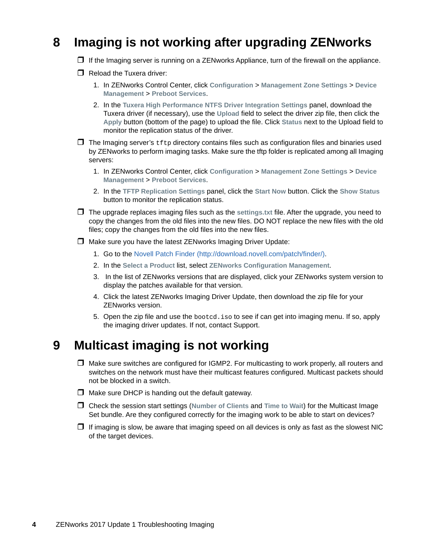# <span id="page-3-0"></span>**8 Imaging is not working after upgrading ZENworks**

- $\Box$  If the Imaging server is running on a ZENworks Appliance, turn of the firewall on the appliance.
- $\Box$  Reload the Tuxera driver:
	- 1. In ZENworks Control Center, click **Configuration** > **Management Zone Settings** > **Device Management** > **Preboot Services**.
	- 2. In the **Tuxera High Performance NTFS Driver Integration Settings** panel, download the Tuxera driver (if necessary), use the **Upload** field to select the driver zip file, then click the **Apply** button (bottom of the page) to upload the file. Click **Status** next to the Upload field to monitor the replication status of the driver.
- $\Box$  The Imaging server's  $\text{tftp}$  directory contains files such as configuration files and binaries used by ZENworks to perform imaging tasks. Make sure the tftp folder is replicated among all Imaging servers:
	- 1. In ZENworks Control Center, click **Configuration** > **Management Zone Settings** > **Device Management** > **Preboot Services**.
	- 2. In the **TFTP Replication Settings** panel, click the **Start Now** button. Click the **Show Status** button to monitor the replication status.
- The upgrade replaces imaging files such as the **settings.txt** file. After the upgrade, you need to copy the changes from the old files into the new files. DO NOT replace the new files with the old files; copy the changes from the old files into the new files.
- □ Make sure you have the latest ZENworks Imaging Driver Update:
	- 1. Go to the [Novell Patch Finder](http://download.novell.com/patch/finder/) (http://download.novell.com/patch/finder/).
	- 2. In the **Select a Product** list, select **ZENworks Configuration Management**.
	- 3. In the list of ZENworks versions that are displayed, click your ZENworks system version to display the patches available for that version.
	- 4. Click the latest ZENworks Imaging Driver Update, then download the zip file for your ZENworks version.
	- 5. Open the zip file and use the bootcd.iso to see if can get into imaging menu. If so, apply the imaging driver updates. If not, contact Support.

### <span id="page-3-1"></span>**9 Multicast imaging is not working**

- $\Box$  Make sure switches are configured for IGMP2. For multicasting to work properly, all routers and switches on the network must have their multicast features configured. Multicast packets should not be blocked in a switch.
- $\Box$  Make sure DHCP is handing out the default gateway.
- Check the session start settings (**Number of Clients** and **Time to Wait**) for the Multicast Image Set bundle. Are they configured correctly for the imaging work to be able to start on devices?
- $\Box$  If imaging is slow, be aware that imaging speed on all devices is only as fast as the slowest NIC of the target devices.